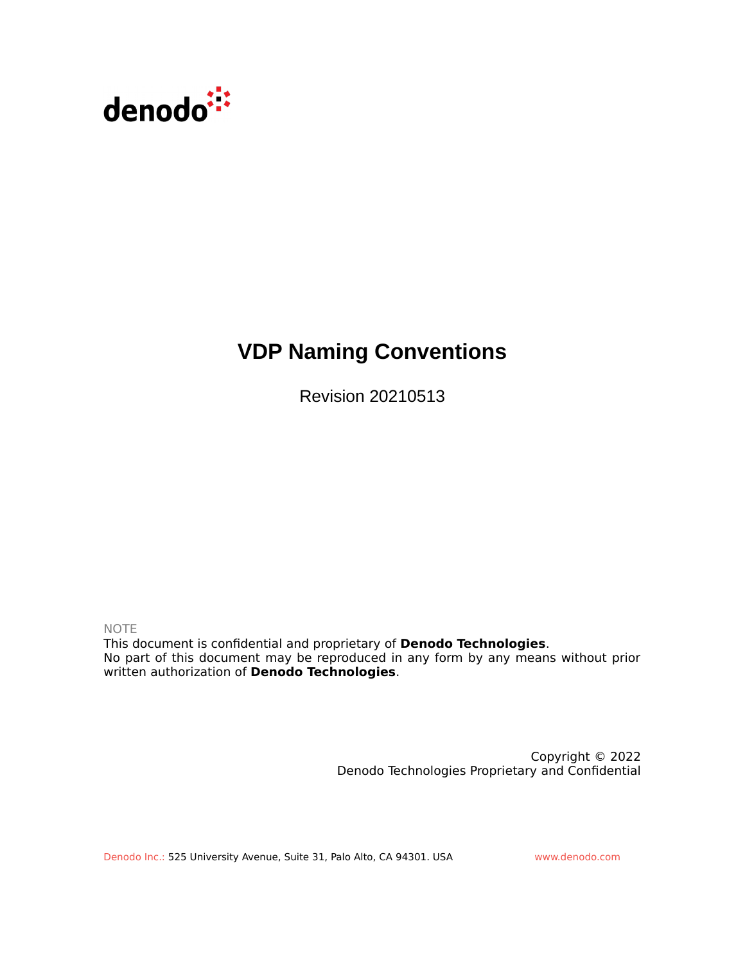

# **VDP Naming Conventions**

Revision 20210513

NOTE

This document is confidential and proprietary of **Denodo Technologies**. No part of this document may be reproduced in any form by any means without prior written authorization of **Denodo Technologies**.

> Copyright © 2022 Denodo Technologies Proprietary and Confidential

Denodo Inc.: 525 University Avenue, Suite 31, Palo Alto, CA 94301. USA www.denodo.com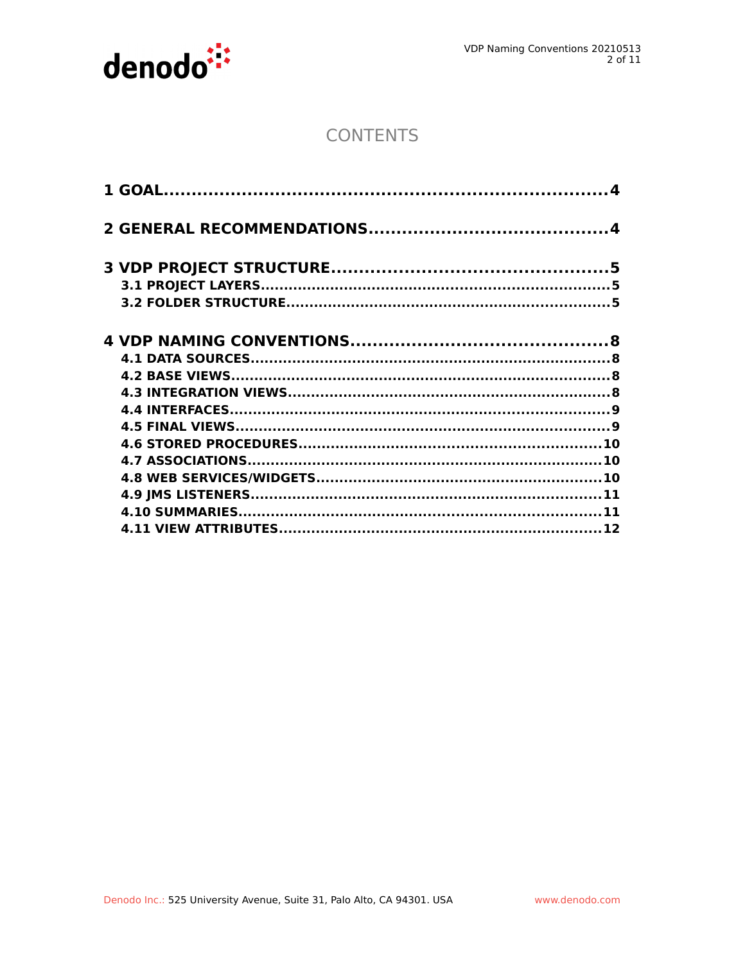

# **CONTENTS**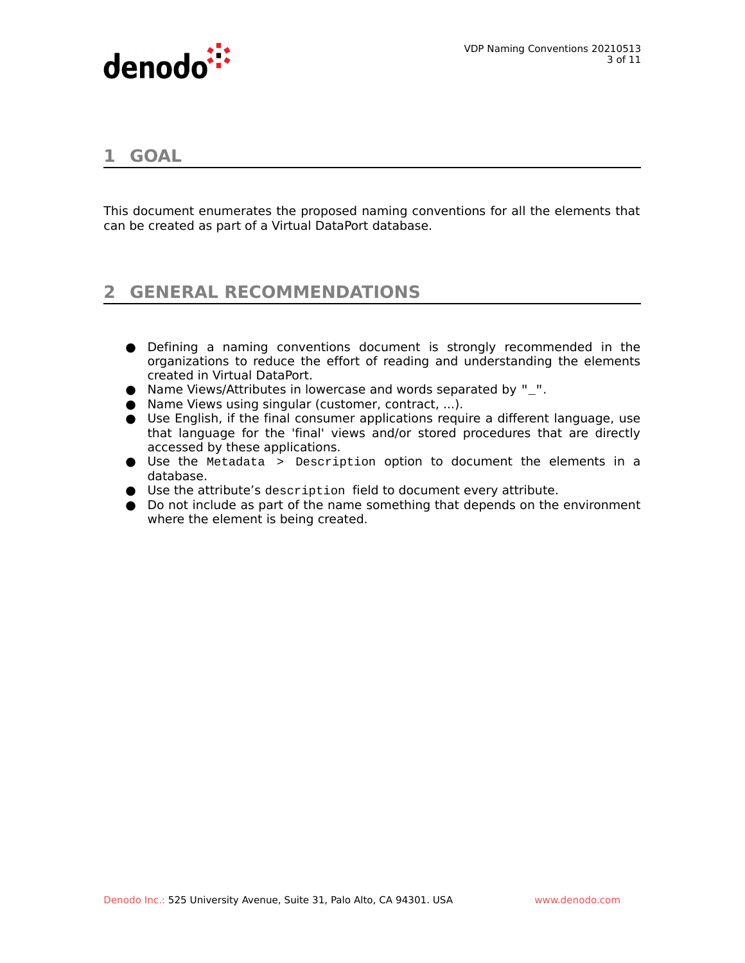

# **1 GOAL**

This document enumerates the proposed naming conventions for all the elements that can be created as part of a Virtual DataPort database.

# **2 GENERAL RECOMMENDATIONS**

- Defining a naming conventions document is strongly recommended in the organizations to reduce the effort of reading and understanding the elements created in Virtual DataPort.
- Name Views/Attributes in lowercase and words separated by "\_".
- Name Views using singular (customer, contract, ...).
- Use English, if the final consumer applications require a different language, use that language for the 'final' views and/or stored procedures that are directly accessed by these applications.
- Use the Metadata > Description option to document the elements in a database.
- Use the attribute's description field to document every attribute.
- Do not include as part of the name something that depends on the environment where the element is being created.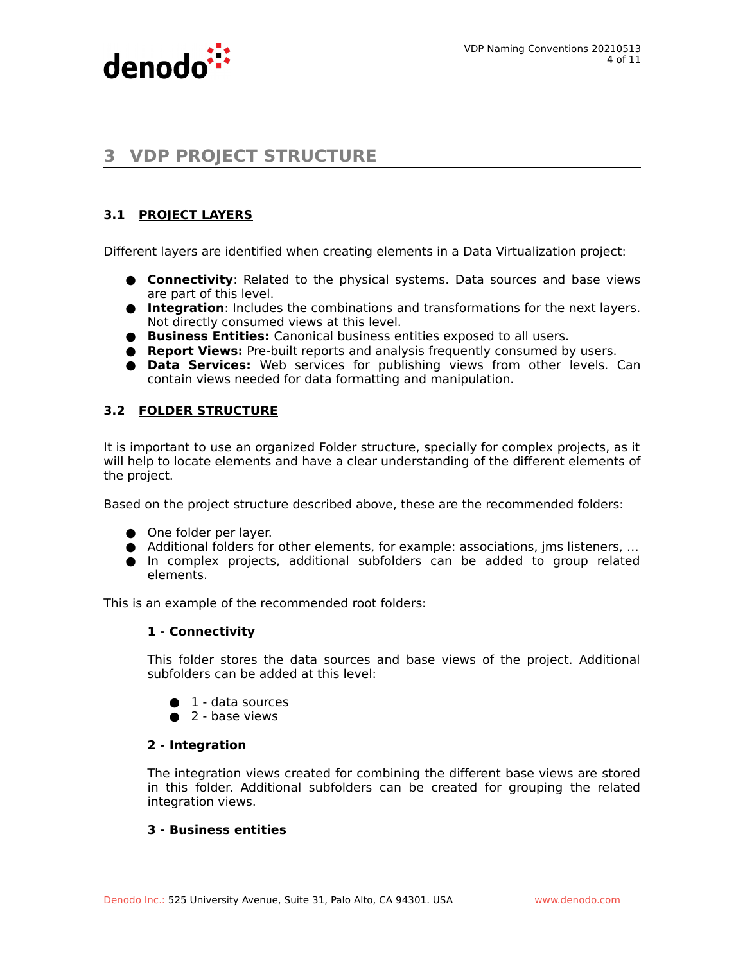



# **3 VDP PROJECT STRUCTURE**

# **3.1 PROJECT LAYERS**

Different layers are identified when creating elements in a Data Virtualization project:

- **Connectivity**: Related to the physical systems. Data sources and base views are part of this level.
- **Integration**: Includes the combinations and transformations for the next layers. Not directly consumed views at this level.
- **Business Entities:** Canonical business entities exposed to all users.
- **Report Views:** Pre-built reports and analysis frequently consumed by users.
- **Data Services:** Web services for publishing views from other levels. Can contain views needed for data formatting and manipulation.

# **3.2 FOLDER STRUCTURE**

It is important to use an organized Folder structure, specially for complex projects, as it will help to locate elements and have a clear understanding of the different elements of the project.

Based on the project structure described above, these are the recommended folders:

- One folder per layer.
- Additional folders for other elements, for example: associations, jms listeners, ...
- In complex projects, additional subfolders can be added to group related elements.

This is an example of the recommended root folders:

#### **1 - Connectivity**

This folder stores the data sources and base views of the project. Additional subfolders can be added at this level:

- $\bullet$  1 data sources
- $\bullet$  2 base views

#### **2 - Integration**

The integration views created for combining the different base views are stored in this folder. Additional subfolders can be created for grouping the related integration views.

### **3 - Business entities**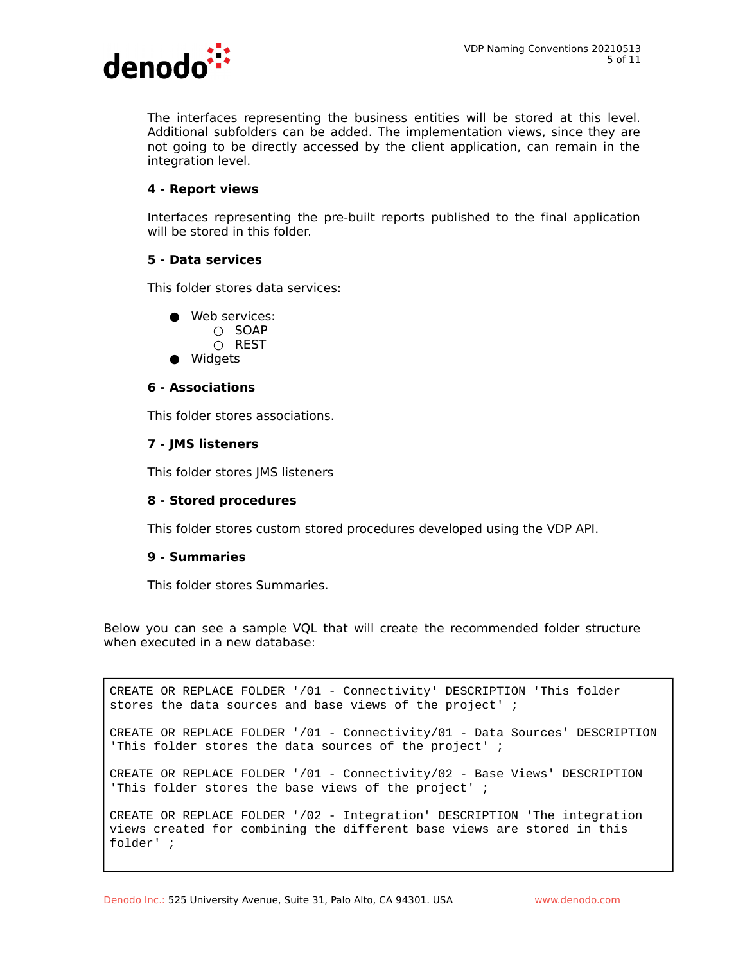

The interfaces representing the business entities will be stored at this level. Additional subfolders can be added. The implementation views, since they are not going to be directly accessed by the client application, can remain in the integration level.

#### **4 - Report views**

Interfaces representing the pre-built reports published to the final application will be stored in this folder.

#### **5 - Data services**

This folder stores data services:

- Web services:  $\cap$  SOAP
	- REST
- Widgets

#### **6 - Associations**

This folder stores associations.

#### **7 - JMS listeners**

This folder stores JMS listeners

#### **8 - Stored procedures**

This folder stores custom stored procedures developed using the VDP API.

#### **9 - Summaries**

This folder stores Summaries.

Below you can see a sample VQL that will create the recommended folder structure when executed in a new database:

CREATE OR REPLACE FOLDER '/01 - Connectivity' DESCRIPTION 'This folder stores the data sources and base views of the project' ;

CREATE OR REPLACE FOLDER '/01 - Connectivity/01 - Data Sources' DESCRIPTION 'This folder stores the data sources of the project' ;

CREATE OR REPLACE FOLDER '/01 - Connectivity/02 - Base Views' DESCRIPTION 'This folder stores the base views of the project' ;

CREATE OR REPLACE FOLDER '/02 - Integration' DESCRIPTION 'The integration views created for combining the different base views are stored in this folder' ;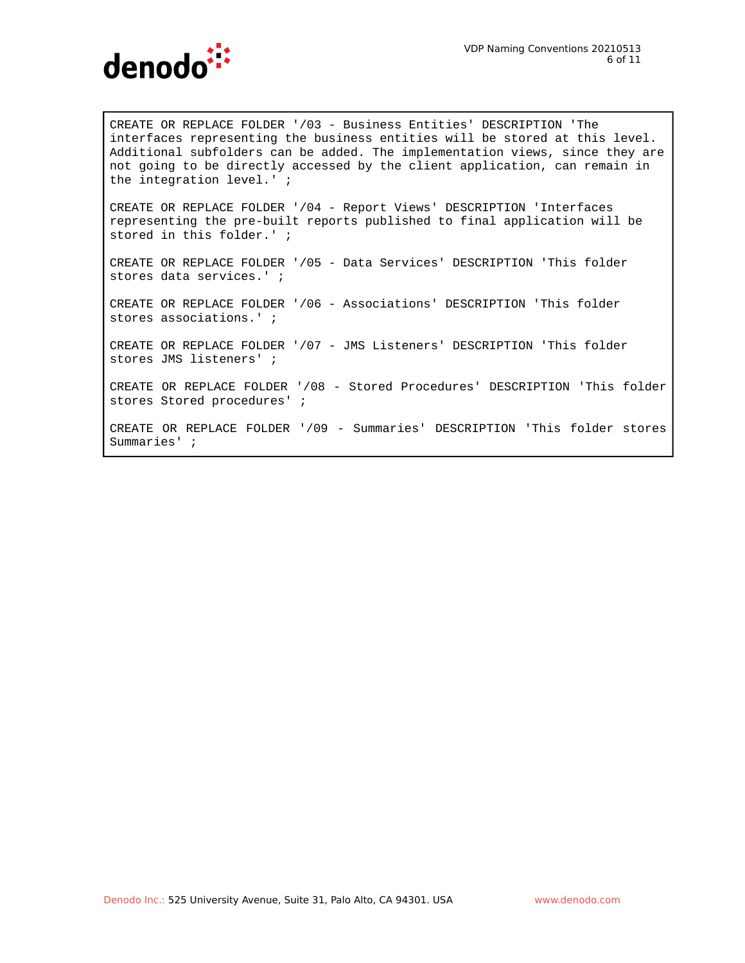

CREATE OR REPLACE FOLDER '/03 - Business Entities' DESCRIPTION 'The interfaces representing the business entities will be stored at this level. Additional subfolders can be added. The implementation views, since they are not going to be directly accessed by the client application, can remain in the integration level.' ;

CREATE OR REPLACE FOLDER '/04 - Report Views' DESCRIPTION 'Interfaces representing the pre-built reports published to final application will be stored in this folder.' ;

CREATE OR REPLACE FOLDER '/05 - Data Services' DESCRIPTION 'This folder stores data services.' ;

CREATE OR REPLACE FOLDER '/06 - Associations' DESCRIPTION 'This folder stores associations.' ;

CREATE OR REPLACE FOLDER '/07 - JMS Listeners' DESCRIPTION 'This folder stores JMS listeners' ;

CREATE OR REPLACE FOLDER '/08 - Stored Procedures' DESCRIPTION 'This folder stores Stored procedures' ;

CREATE OR REPLACE FOLDER '/09 - Summaries' DESCRIPTION 'This folder stores Summaries' ;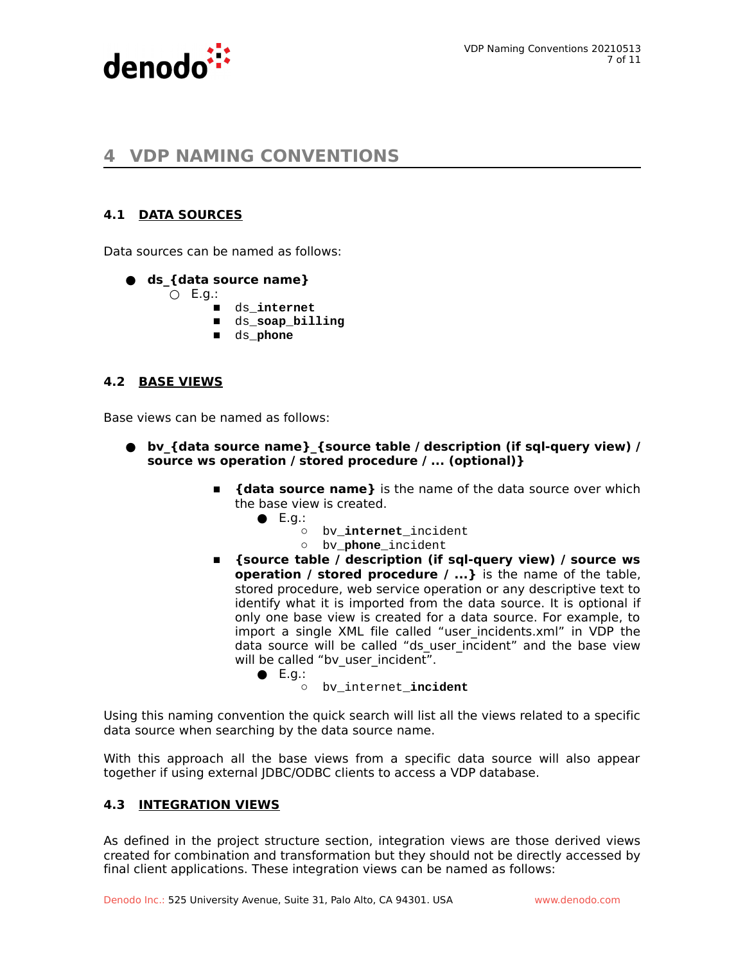

# **4 VDP NAMING CONVENTIONS**

# **4.1 DATA SOURCES**

Data sources can be named as follows:

#### **● ds\_{data source name}**

 $O$  E.g.:

- **■** ds\_**internet**
- **■** ds\_**soap\_billing**
- **■** ds\_**phone**

#### **4.2 BASE VIEWS**

Base views can be named as follows:

- **● bv\_{data source name}\_{source table / description (if sql-query view) / source ws operation / stored procedure / ... (optional)}**
	- **■ {data source name}** is the name of the data source over which the base view is created.
		- $\bullet$  E.g.:
			- bv\_**internet**\_incident
			- bv\_**phone**\_incident
	- **■ {source table / description (if sql-query view) / source ws operation / stored procedure / ...}** is the name of the table, stored procedure, web service operation or any descriptive text to identify what it is imported from the data source. It is optional if only one base view is created for a data source. For example, to import a single XML file called "user incidents.xml" in VDP the data source will be called "ds user incident" and the base view will be called "by user incident".

 $\bullet$  E.g.:

○ bv\_internet\_**incident**

Using this naming convention the quick search will list all the views related to a specific data source when searching by the data source name.

With this approach all the base views from a specific data source will also appear together if using external JDBC/ODBC clients to access a VDP database.

#### **4.3 INTEGRATION VIEWS**

As defined in the project structure section, integration views are those derived views created for combination and transformation but they should not be directly accessed by final client applications. These integration views can be named as follows: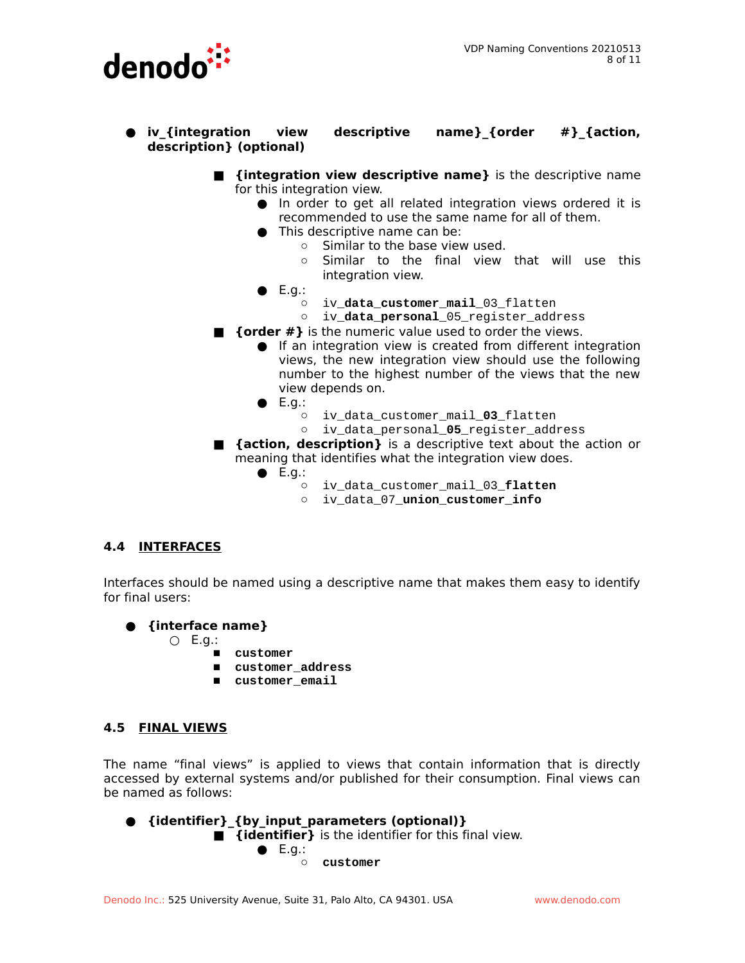

- **● iv\_{integration view descriptive name}\_{order #}\_{action, description} (optional)**
	- **{integration view descriptive name}** is the descriptive name for this integration view.
		- In order to get all related integration views ordered it is recommended to use the same name for all of them.
		- This descriptive name can be:
			- Similar to the base view used.
			- Similar to the final view that will use this integration view.
		- $\bullet$  E.g.:
			- iv\_**data\_customer\_mail**\_03\_flatten
			- iv\_**data\_personal**\_05\_register\_address
	- **{order #}** is the numeric value used to order the views.
		- **If an integration view is created from different integration** views, the new integration view should use the following number to the highest number of the views that the new view depends on.
		- $\bullet$  E.g.:
			- iv\_data\_customer\_mail\_**03**\_flatten
			- iv\_data\_personal\_**05**\_register\_address
	- **{action, description}** is a descriptive text about the action or meaning that identifies what the integration view does.
		- $\bullet$  E.g.:
			- iv\_data\_customer\_mail\_03\_**flatten**
			- iv\_data\_07\_**union\_customer\_info**

#### **4.4 INTERFACES**

Interfaces should be named using a descriptive name that makes them easy to identify for final users:

- **{interface name}** 
	- $O$  E.g.:
		- **customer**
		- **customer\_address**
		- **customer\_email**

#### **4.5 FINAL VIEWS**

The name "final views" is applied to views that contain information that is directly accessed by external systems and/or published for their consumption. Final views can be named as follows:

● **{identifier}\_{by\_input\_parameters (optional)}**

**■ {identifier}** is the identifier for this final view.

**●** E.g.:

**○ customer**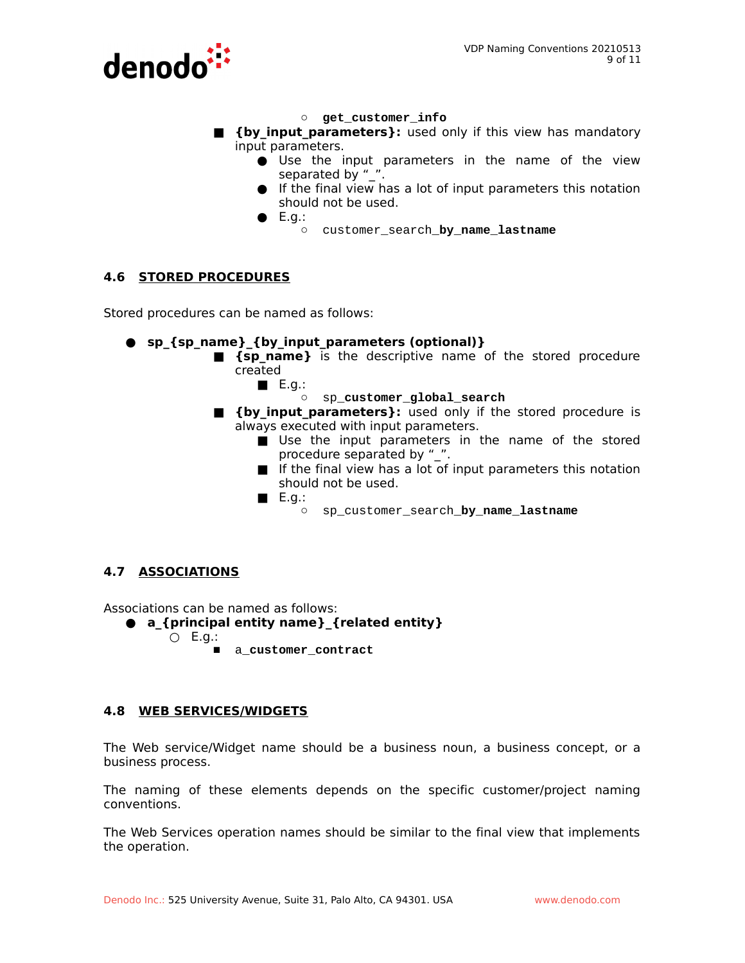

- **○ get\_customer\_info**
- $\blacksquare$  **{by input parameters}:** used only if this view has mandatory input parameters.
	- **●** Use the input parameters in the name of the view separated by "
	- **●** If the final view has a lot of input parameters this notation should not be used.
	- **●** E.g.:
		- **○** customer\_search\_**by\_name\_lastname**

# **4.6 STORED PROCEDURES**

Stored procedures can be named as follows:

- **sp\_{sp\_name}\_{by\_input\_parameters (optional)}**
	- **■ {sp\_name}** is the descriptive name of the stored procedure created
		- **■** E.g.:
			- sp\_**customer\_global\_search**
	- **E** {by input parameters}: used only if the stored procedure is always executed with input parameters.
		- Use the input parameters in the name of the stored procedure separated by "\_".
		- If the final view has a lot of input parameters this notation should not be used.
		- **■** E.g.:
			- sp\_customer\_search\_**by\_name\_lastname**

# **4.7 ASSOCIATIONS**

Associations can be named as follows:

- **a\_{principal entity name}\_{related entity}** 
	- $O$  E.g.:
		- a\_**customer\_contract**

# **4.8 WEB SERVICES/WIDGETS**

The Web service/Widget name should be a business noun, a business concept, or a business process.

The naming of these elements depends on the specific customer/project naming conventions.

The Web Services operation names should be similar to the final view that implements the operation.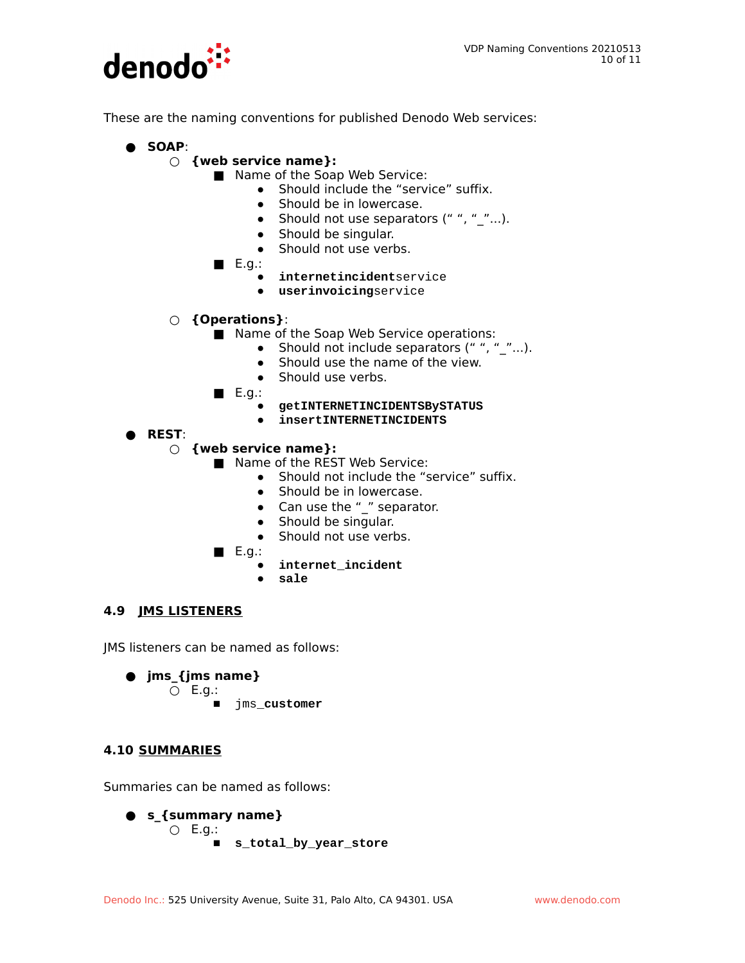

These are the naming conventions for published Denodo Web services:

- **SOAP**:
	- **○ {web service name}:**
		- Name of the Soap Web Service:
			- **●** Should include the "service" suffix.
				- **●** Should be in lowercase.
				- **●** Should not use separators (" ", "\_"...).
				- **●** Should be singular.
				- **●** Should not use verbs.
		- **■** E.g.:
			- **● internetincident**service
			- **● userinvoicing**service
	- **○ {Operations}**:
		- Name of the Soap Web Service operations:
			- **●** Should not include separators (" ", "\_"...).
			- **●** Should use the name of the view.
			- **●** Should use verbs.
		- **■** E.g.:
			- **● getINTERNETINCIDENTSBySTATUS**
			- **● insertINTERNETINCIDENTS**
- **REST**:
	- **○ {web service name}:** 
		- Name of the REST Web Service:
			- **●** Should not include the "service" suffix.
			- **●** Should be in lowercase.
			- **●** Can use the "\_" separator.
			- **●** Should be singular.
			- **●** Should not use verbs.
		- **■** E.g.:
			- **● internet\_incident**
			- **● sale**

# **4.9 JMS LISTENERS**

JMS listeners can be named as follows:

● **jms\_{jms name}**

○ E.g.:

■ jms\_**customer**

# **4.10 SUMMARIES**

Summaries can be named as follows:

● **s\_{summary name}**  $O$  E.g.: ■ **s\_total\_by\_year\_store**